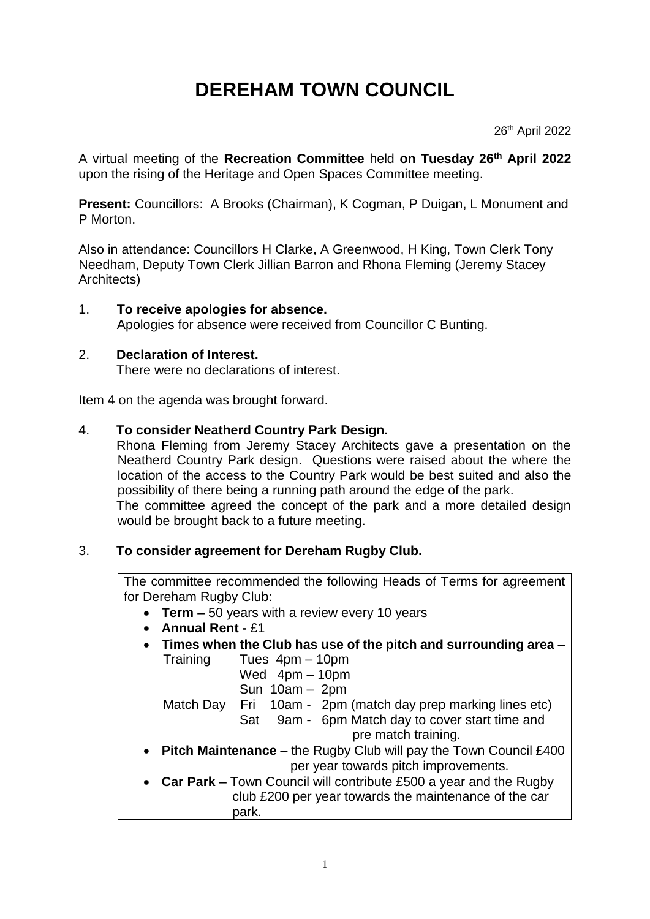# **DEREHAM TOWN COUNCIL**

26th April 2022

A virtual meeting of the **Recreation Committee** held **on Tuesday 26 th April 2022** upon the rising of the Heritage and Open Spaces Committee meeting.

**Present:** Councillors: A Brooks (Chairman), K Cogman, P Duigan, L Monument and P Morton.

Also in attendance: Councillors H Clarke, A Greenwood, H King, Town Clerk Tony Needham, Deputy Town Clerk Jillian Barron and Rhona Fleming (Jeremy Stacey Architects)

1. **To receive apologies for absence.** Apologies for absence were received from Councillor C Bunting.

# 2. **Declaration of Interest.**

There were no declarations of interest.

Item 4 on the agenda was brought forward.

# 4. **To consider Neatherd Country Park Design.**

Rhona Fleming from Jeremy Stacey Architects gave a presentation on the Neatherd Country Park design.Questions were raised about the where the location of the access to the Country Park would be best suited and also the possibility of there being a running path around the edge of the park. The committee agreed the concept of the park and a more detailed design would be brought back to a future meeting.

# 3. **To consider agreement for Dereham Rugby Club.**

The committee recommended the following Heads of Terms for agreement for Dereham Rugby Club:

- **Term –** 50 years with a review every 10 years
- **Annual Rent -** £1
- **Times when the Club has use of the pitch and surrounding area –** Training Tues 4pm – 10pm

Wed 4pm – 10pm

Sun 10am – 2pm

Match Day Fri 10am - 2pm (match day prep marking lines etc)

Sat 9am - 6pm Match day to cover start time and

pre match training.

- **Pitch Maintenance –** the Rugby Club will pay the Town Council £400 per year towards pitch improvements.
- **Car Park –** Town Council will contribute £500 a year and the Rugby club £200 per year towards the maintenance of the car park.